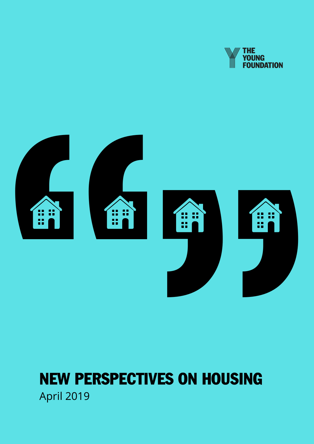



## NEW PERSPECTIVES ON HOUSING April 2019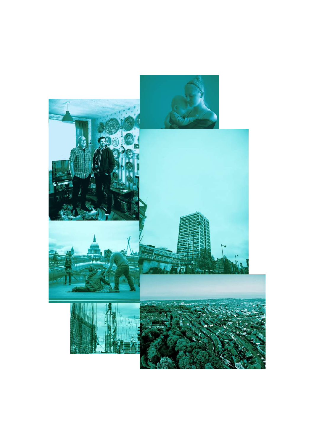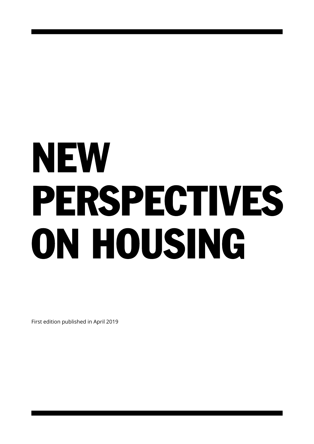## NEW PERSPECTIVES ON HOUSING

First edition published in April 2019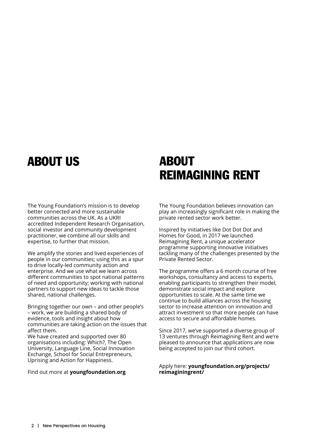### ABOUT US

The Young Foundation's mission is to develop better connected and more sustainable communities across the UK. As a UKRI accredited Independent Research Organisation, social investor and community development practitioner, we combine all our skills and expertise, to further that mission.

We amplify the stories and lived experiences of people in our communities; using this as a spur to drive locally-led community action and enterprise. And we use what we learn across different communities to spot national patterns of need and opportunity; working with national partners to support new ideas to tackle those shared, national challenges.

Bringing together our own – and other people's – work, we are building a shared body of evidence, tools and insight about how communities are taking action on the issues that affect them.

We have created and supported over 80 organisations including: Which?, The Open University, Language Line, Social Innovation Exchange, School for Social Entrepreneurs, Uprising and Action for Happiness.

Find out more at **youngfoundation.org**

## ABOUT REIMAGINING RENT

The Young Foundation believes innovation can play an increasingly significant role in making the private rented sector work better.

Inspired by initiatives like Dot Dot Dot and Homes for Good, in 2017 we launched Reimagining Rent, a unique accelerator programme supporting innovative initiatives tackling many of the challenges presented by the Private Rented Sector.

The programme offers a 6 month course of free workshops, consultancy and access to experts, enabling participants to strengthen their model, demonstrate social impact and explore opportunities to scale. At the same time we continue to build alliances across the housing sector to increase attention on innovation and attract investment so that more people can have access to secure and affordable homes.

Since 2017, we've supported a diverse group of 13 ventures through Reimagining Rent and we're pleased to announce that applications are now being accepted to join our third cohort.

#### Apply here: **youngfoundation.org/projects/ reimaginingrent/**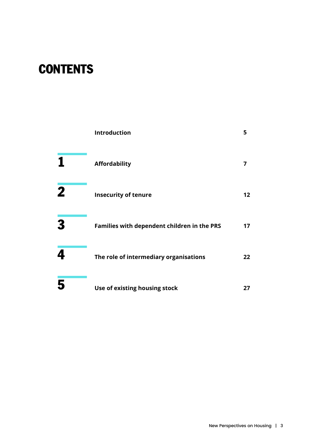## **CONTENTS**

|   | Introduction                                | 5  |
|---|---------------------------------------------|----|
|   | <b>Affordability</b>                        | 7  |
| 2 | <b>Insecurity of tenure</b>                 | 12 |
|   | Families with dependent children in the PRS | 17 |
|   | The role of intermediary organisations      | 22 |
|   | Use of existing housing stock               | 27 |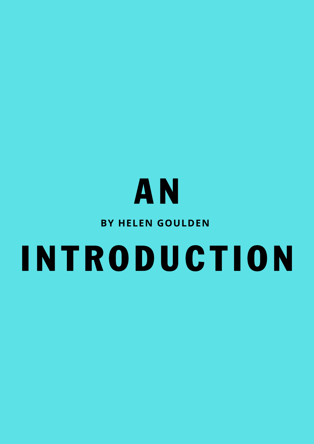## AN **BY HELEN GOULDEN**

## INT RODUCTION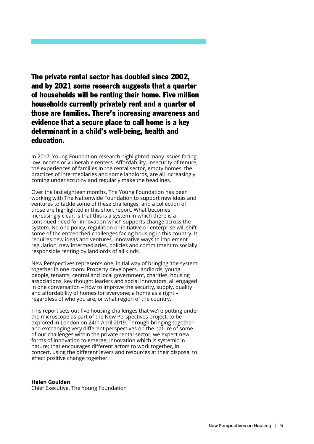The private rental sector has doubled since 2002, and by 2021 some research suggests that a quarter of households will be renting their home. Five million households currently privately rent and a quarter of those are families. There's increasing awareness and evidence that a secure place to call home is a key determinant in a child's well-being, health and education.

In 2017, Young Foundation research highlighted many issues facing low income or vulnerable renters. Affordability, insecurity of tenure, the experiences of families in the rental sector, empty homes, the practices of intermediaries and some landlords, are all increasingly coming under scrutiny and regularly make the headlines.

Over the last eighteen months, The Young Foundation has been working with The Nationwide Foundation to support new ideas and ventures to tackle some of these challenges; and a collection of those are highlighted in this short report. What becomes increasingly clear, is that this is a system in which there is a continued need for innovation which supports change across the system. No one policy, regulation or initiative or enterprise will shift some of the entrenched challenges facing housing in this country. It requires new ideas and ventures, innovative ways to implement regulation, new intermediaries, policies and commitment to socially responsible renting by landlords of all kinds.

New Perspectives represents one, initial way of bringing 'the system' together in one room. Property developers, landlords, young people, tenants, central and local government, charities, housing associations, key thought leaders and social innovators, all engaged in one conversation – how to improve the security, supply, quality and affordability of homes for everyone; a home as a right – regardless of who you are, or what region of the country.

This report sets out five housing challenges that we're putting under the microscope as part of the New Perspectives project, to be explored in London on 24th April 2019. Through bringing together and exchanging very different perspectives on the nature of some of our challenges within the private rental sector, we expect new forms of innovation to emerge; innovation which is systemic in nature; that encourages different actors to work together, in concert, using the different levers and resources at their disposal to effect positive change together.

#### **Helen Goulden**

Chief Executive, The Young Foundation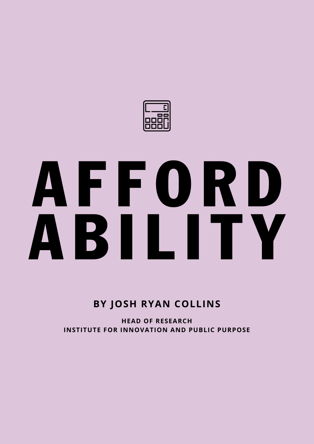

# A F F O R D A B I L I T Y

### **BY JOSH RYAN COLLINS**

**HEAD OF RESEARCH INSTITUTE FOR INNOVATION AND PUBLIC PURPOSE**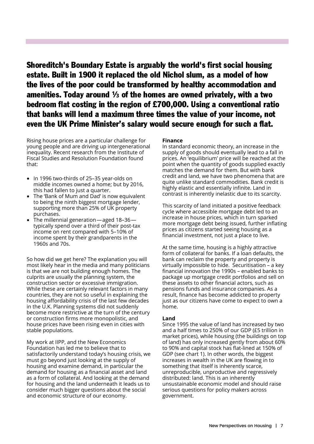Shoreditch's Boundary Estate is arguably the world's first social housing estate. Built in 1900 it replaced the old Nichol slum, as a model of how the lives of the poor could be transformed by healthy accommodation and amenities. Today around **⅓** of the homes are owned privately, with a two bedroom flat costing in the region of £700,000. Using a conventional ratio that banks will lend a maximum three times the value of your income, not even the UK Prime Minister's salary would secure enough for such a flat.

Rising house prices are a particular challenge for young people and are driving up intergenerational inequality. Recent research from the Institute of Fiscal Studies and Resolution Foundation found that:

- In 1996 two-thirds of 25-35 year-olds on middle incomes owned a home; but by 2016, this had fallen to just a quarter.
- The 'Bank of Mum and Dad' is now equivalent to being the ninth biggest mortgage lender, supporting more than 25% of UK property purchases.
- The millennial generation—aged 18-36 typically spend over a third of their post-tax income on rent compared with 5–10% of income spent by their grandparents in the 1960s and 70s.

So how did we get here? The explanation you will most likely hear in the media and many politicians is that we are not building enough homes. The culprits are usually the planning system, the construction sector or excessive immigration. While these are certainly relevant factors in many countries, they are not so useful in explaining the housing affordability crisis of the last few decades in the U.K. Planning systems did not suddenly become more restrictive at the turn of the century or construction firms more monopolistic, and house prices have been rising even in cities with stable populations.

My work at IIPP, and the New Economics Foundation has led me to believe that to satisfactorily understand today's housing crisis, we must go beyond just looking at the supply of housing and examine demand, in particular the demand for housing as a financial asset and land as a form of collateral. And looking at the demand for housing and the land underneath it leads us to consider much bigger questions about the social and economic structure of our economy.

#### **Finance**

In standard economic theory, an increase in the supply of goods should eventually lead to a fall in prices. An 'equilibrium' price will be reached at the point when the quantity of goods supplied exactly matches the demand for them. But with bank credit and land, we have two phenomena that are quite unlike standard commodities. Bank credit is highly elastic and essentially infinite. Land in contrast is inherently inelastic due to its scarcity.

This scarcity of land initiated a positive feedback cycle where accessible mortgage debt led to an increase in house prices, which in turn sparked more mortgage debt being issued, further inflating prices as citizens started seeing housing as a financial investment, not just a place to live.

At the same time, housing is a highly attractive form of collateral for banks. If a loan defaults, the bank can reclaim the property and property is virtually impossible to hide. Securitisation – a key financial innovation the 1990s – enabled banks to package up mortgage credit portfolios and sell on these assets to other financial actors, such as pensions funds and insurance companies. As a result, finance has become addicted to property just as our citizens have come to expect to own a home.

#### **Land**

Since 1995 the value of land has increased by two and a half times to 250% of our GDP (£5 trillion in market prices), while housing (the buildings on top of land) has only increased gently from about 60% to 90% and capital stock has flat-lined at 150% of GDP (see chart 1). In other words, the biggest increases in wealth in the UK are flowing in to something that itself is inherently scarce, unreproducible, unproductive and regressively distributed: land. This is an inherently unsustainable economic model and should raise serious questions for policy makers across government.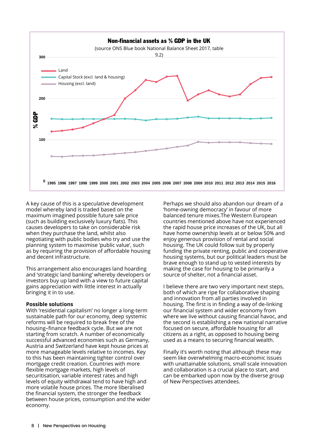

A key cause of this is a speculative development model whereby land is traded based on the maximum imagined possible future sale price (such as building exclusively luxury flats). This causes developers to take on considerable risk when they purchase the land, whilst also negotiating with public bodies who try and use the planning system to maximise 'public value', such as by requiring the provision of affordable housing and decent infrastructure.

This arrangement also encourages land hoarding and 'strategic land banking' whereby developers or investors buy up land with a view to future capital gains appreciation with little interest in actually bringing it in to use.

#### **Possible solutions**

With 'residential capitalism' no longer a long-term sustainable path for our economy, deep systemic reforms will be required to break free of the housing–finance feedback cycle. But we are not starting from scratch. A number of economically successful advanced economies such as Germany, Austria and Switzerland have kept house prices at more manageable levels relative to incomes. Key to this has been maintaining tighter control over mortgage credit creation. Countries with more flexible mortgage markets, high levels of securitisation, variable interest rates and high levels of equity withdrawal tend to have high and more volatile house prices. The more liberalised the financial system, the stronger the feedback between house prices, consumption and the wider economy.

Perhaps we should also abandon our dream of a 'home-owning democracy' in favour of more balanced tenure mixes.The Western European countries mentioned above have not experienced the rapid house price increases of the UK, but all have home ownership levels at or below 50% and enjoy generous provision of rental and social housing. The UK could follow suit by properly funding the private renting, public and cooperative housing systems, but our political leaders must be brave enough to stand up to vested interests by making the case for housing to be primarily a source of shelter, not a financial asset.

I believe there are two very important next steps, both of which are ripe for collaborative shaping and innovation from all parties involved in housing. The first is in finding a way of de-linking our financial system and wider economy from where we live without causing financial havoc, and the second is establishing a new national narrative focused on secure, affordable housing for all citizens as a right, as opposed to housing being used as a means to securing financial wealth.

Finally it's worth noting that although these may seem like overwhelming macro-economic issues with unattainable solutions, small scale innovation and collaboration is a crucial place to start, and can be embarked upon now by the diverse group of New Perspectives attendees.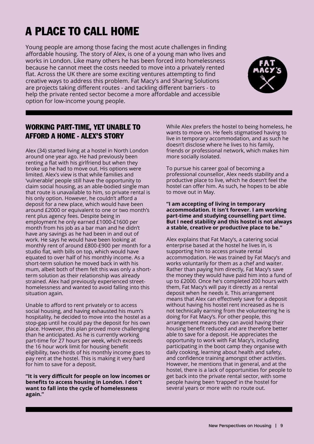## A PLACE TO CALL HOME

Young people are among those facing the most acute challenges in finding affordable housing. The story of Alex, is one of a young man who lives and works in London. Like many others he has been forced into homelessness because he cannot meet the costs needed to move into a privately rented flat. Across the UK there are some exciting ventures attempting to find creative ways to address this problem. Fat Macy's and Sharing Solutions are projects taking different routes - and tackling different barriers - to help the private rented sector become a more affordable and accessible option for low-income young people.



#### WORKING PART-TIME, YET UNABLE TO AFFORD A HOME - ALEX'S STORY

Alex (34) started living at a hostel in North London around one year ago. He had previously been renting a flat with his girlfriend but when they broke up he had to move out. His options were limited. Alex's view is that while families and 'vulnerable' people still have the opportunity to claim social housing, as an able-bodied single man that route is unavailable to him, so private rental is his only option. However, he couldn't afford a deposit for a new place, which would have been around £2000 or equivalent to one or two month's rent plus agency fees. Despite being in employment he only earned £1000-£1600 per month from his job as a bar man and he didn't have any savings as he had been in and out of work. He says he would have been looking at monthly rent of around £800-£900 per month for a studio flat, with bills on top, which would have equated to over half of his monthly income. As a short-term solution he moved back in with his mum, albeit both of them felt this was only a shortterm solution as their relationship was already strained. Alex had previously experienced streethomelessness and wanted to avoid falling into this situation again.

Unable to afford to rent privately or to access social housing, and having exhausted his mum's hospitality, he decided to move into the hostel as a stop-gap until he could pay the deposit for his own place. However, this plan proved more challenging than he anticipated. As he is currently working part-time for 27 hours per week, which exceeds the 16 hour work limit for housing benefit eligibility, two-thirds of his monthly income goes to pay rent at the hostel. This is making it very hard for him to save for a deposit.

**"It is very difficult for people on low incomes or benefits to access housing in London. I don't want to fall into the cycle of homelessness again."**

While Alex prefers the hostel to being homeless, he wants to move on. He feels stigmatised having to live in temporary accommodation, and as such he doesn't disclose where he lives to his family, friends or professional network, which makes him more socially isolated.

To pursue his career goal of becoming a professional counsellor, Alex needs stability and a productive place to live, which he doesn't feel the hostel can offer him. As such, he hopes to be able to move out in May.

#### **"I am accepting of living in temporary accommodation. It isn't forever. I am working part-time and studying counselling part time. But I need stability and this hostel is not always a stable, creative or productive place to be."**

Alex explains that Fat Macy's, a catering social enterprise based at the hostel he lives in, is supporting him to access private rental accommodation. He was trained by Fat Macy's and works voluntarily for them as a chef and waiter. Rather than paying him directly, Fat Macy's save the money they would have paid him into a fund of up to £2000. Once he's completed 200 hours with them, Fat Macy's will pay it directly as a rental deposit when he needs it. This arrangement means that Alex can effectively save for a deposit without having his hostel rent increased as he is not technically earning from the volunteering he is doing for Fat Macy's. For other people, this arrangement means they can avoid having their housing benefit reduced and are therefore better able to save for a deposit. He appreciates the opportunity to work with Fat Macy's, including participating in the boot camp they organise with daily cooking, learning about health and safety, and confidence training amongst other activities. However, he mentions that in general, and at the hostel, there is a lack of opportunities for people to get back into the private rental sector, with some people having been 'trapped' in the hostel for several years or more with no route out.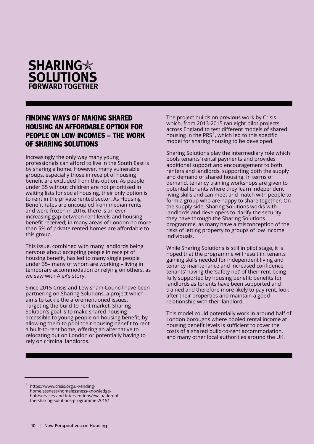

#### FINDING WAYS OF MAKING SHARED HOUSING AN AFFORDABLE OPTION FOR PEOPLE ON LOW INCOMES – THE WORK OF SHARING SOLUTIONS

Increasingly the only way many young professionals can afford to live in the South East is by sharing a home. However, many vulnerable groups, especially those in receipt of housing benefit are excluded from this option. As people under 35 without children are not prioritised in waiting lists for social housing, their only option is to rent in the private rented sector. As Housing Benefit rates are uncoupled from median rents and were frozen in 2016, there is an ever increasing gap between rent levels and housing benefit received; in many areas of London no more than 5% of private rented homes are affordable to this group.

This issue, combined with many landlords being nervous about accepting people in receipt of housing benefit, has led to many single people under 35– many of whom are working – living in temporary accommodation or relying on others, as we saw with Alex's story.

Since 2015 Crisis and Lewisham Council have been partnering on Sharing Solutions, a project which aims to tackle the aforementioned issues. Targeting the build-to-rent market, Sharing Solution's goal is to make shared housing accessible to young people on housing benefit, by allowing them to pool their housing benefit to rent a built-to-rent home, offering an alternative to relocating out on London or potentially having to rely on criminal landlords.

The project builds on previous work by Crisis which, from 2013-2015 ran eight pilot projects across England to test different models of shared housing in the PRS<sup>1</sup>, which led to this specific model for sharing housing to be developed.

Sharing Solutions play the intermediary role which pools tenants' rental payments and provides additional support and encouragement to both renters and landlords, supporting both the supply and demand of shared housing. In terms of demand, tenancy training workshops are given to potential tenants where they learn independent living skills and can meet and match with people to form a group who are happy to share together. On the supply side, Sharing Solutions works with landlords and developers to clarify the security they have through the Sharing Solutions programme, as many have a misconception of the risks of letting property to groups of low income individuals.

While Sharing Solutions is still in pilot stage, it is hoped that the programme will result in: tenants gaining skills needed for independent living and tenancy maintenance and increased confidence; tenants' having the 'safety net' of their rent being fully supported by housing benefit; benefits for landlords as tenants have been supported and trained and therefore more likely to pay rent, look after their properties and maintain a good relationship with their landlord.

This model could potentially work in around half of London boroughs where pooled rental income at housing benefit levels is sufficient to cover the costs of a shared build-to-rent accommodation, and many other local authorities around the UK.

https://www.crisis.org.uk/endinghomelessness/homelessness-knowledgehub/services-and-interventions/evaluation-ofthe-sharing-solutions-programme-2015/

1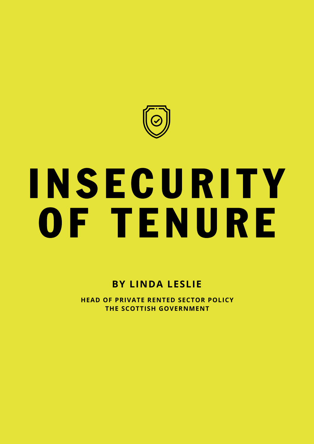

## INS E C U R I T Y OF TENURE

### **BY LINDA LESLIE**

**HEAD OF PRIVATE RENTED SECTOR POLICY THE SCOTTISH GOVERNMENT**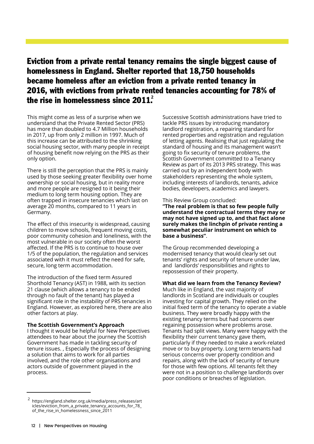Eviction from a private rental tenancy remains the single biggest cause of homelessness in England. Shelter reported that 18,750 households became homeless after an eviction from a private rented tenancy in 2016, with evictions from private rented tenancies accounting for 78% of the rise in homelessness since 2011. **2**

This might come as less of a surprise when we understand that the Private Rented Sector (PRS) has more than doubled to 4.7 Million households in 2017, up from only 2 million in 1997. Much of this increase can be attributed to the shrinking social housing sector, with many people in receipt of housing benefit now relying on the PRS as their only option.

There is still the perception that the PRS is mainly used by those seeking greater flexibility over home ownership or social housing, but in reality more and more people are resigned to it being their medium to long term housing option. They are often trapped in insecure tenancies which last on average 20 months, compared to 11 years in Germany.

The effect of this insecurity is widespread, causing children to move schools, frequent moving costs, poor community cohesion and loneliness, with the most vulnerable in our society often the worst affected. If the PRS is to continue to house over 1/5 of the population, the regulation and services associated with it must reflect the need for safe, secure, long term accommodation.

The introduction of the fixed term Assured Shorthold Tenancy (AST) in 1988, with its section 21 clause (which allows a tenancy to be ended through no fault of the tenant) has played a significant role in the instability of PRS tenancies in England. However, as explored here, there are also other factors at play.

#### **The Scottish Government's Approach**

I thought it would be helpful for New Perspectives attendees to hear about the journey the Scottish Government has made in tackling security of tenure issues. , Especially the process of designing a solution that aims to work for all parties involved, and the role other organisations and actors outside of government played in the process.

 $^{\text{2}}$  https://england.shelter.org.uk/media/press\_releases/art icles/eviction\_from\_a\_private\_tenancy\_accounts\_for\_78\_ of\_the\_rise\_in\_homelessness\_since\_2011

Successive Scottish administrations have tried to tackle PRS issues by introducing mandatory landlord registration, a repairing standard for rented properties and registration and regulation of letting agents. Realising that just regulating the standard of housing and its management wasn't going to fix security of tenure problems, the Scottish Government committed to a Tenancy Review as part of its 2013 PRS strategy. This was carried out by an independent body with stakeholders representing the whole system, including interests of landlords, tenants, advice bodies, developers, academics and lawyers.

#### This Review Group concluded:

**"The real problem is that so few people fully understand the contractual terms they may or may not have signed up to, and that fact alone surely makes the linchpin of private renting a somewhat peculiar instrument on which to base a business"**.

The Group recommended developing a modernised tenancy that would clearly set out tenants' rights and security of tenure under law, and landlords' responsibilities and rights to repossession of their property.

#### **What did we learn from the Tenancy Review?**

Much like in England, the vast majority of landlords in Scotland are individuals or couples investing for capital growth. They relied on the initial fixed term of the tenancy to operate a viable business. They were broadly happy with the existing tenancy terms but had concerns over regaining possession where problems arose. Tenants had split views. Many were happy with the flexibility their current tenancy gave them, particularly if they needed to make a work-related move or to buy property. Long term tenants had serious concerns over property condition and repairs, along with the lack of security of tenure for those with few options. All tenants felt they were not in a position to challenge landlords over poor conditions or breaches of legislation.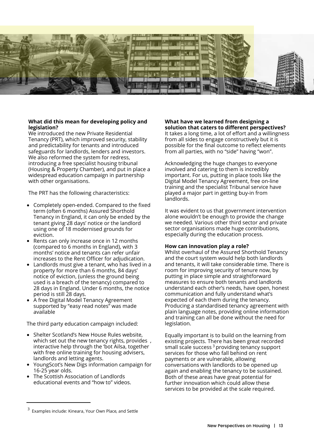

#### **What did this mean for developing policy and legislation?**

We introduced the new Private Residential Tenancy (PRT), which improved security, stability and predictability for tenants and introduced safeguards for landlords, lenders and investors. We also reformed the system for redress, introducing a free specialist housing tribunal (Housing & Property Chamber), and put in place a widespread education campaign in partnership with other organisations.

The PRT has the following characteristics:

- Completely open-ended. Compared to the fixed term (often 6 months) Assured Shorthold Tenancy in England, it can only be ended by the tenant giving 28 days' notice or the landlord using one of 18 modernised grounds for eviction.
- Rents can only increase once in 12 months (compared to 6 months in England), with 3 months' notice and tenants can refer unfair increases to the Rent Officer for adjudication.
- Landlords must give a tenant, who has lived in a property for more than 6 months, 84 days' notice of eviction, (unless the ground being used is a breach of the tenancy) compared to 28 days in England. Under 6 months, the notice period is still 28 days.
- A free Digital Model Tenancy Agreement supported by "easy read notes" was made available

The third party education campaign included:

- Shelter Scotland's New House Rules website, which set out the new tenancy rights, provides , interactive help through the 'bot Ailsa, together with free online training for housing advisers, landlords and letting agents.
- YoungScot's New Digs information campaign for 16-25 year olds.
- The Scottish Association of Landlords educational events and "how to" videos.

Acknowledging the huge changes to everyone involved and catering to them is incredibly important. For us, putting in place tools like the Digital Model Tenancy Agreement, free on-line training and the specialist Tribunal service have played a major part in getting buy-in from landlords.

from all parties, with no "side" having "won".

It was evident to us that government intervention alone wouldn't be enough to provide the change we needed. Various other third sector and private sector organisations made huge contributions, especially during the education process.

#### **How can innovation play a role?**

Whilst overhaul of the Assured Shorthold Tenancy and the court system would help both landlords and tenants, it will take considerable time. There is room for improving security of tenure now, by putting in place simple and straightforward measures to ensure both tenants and landlords understand each other's needs, have open, honest communication and fully understand what's expected of each them during the tenancy. Producing a standardised tenancy agreement with plain language notes, providing online information and training can all be done without the need for legislation.

Equally important is to build on the learning from existing projects. There has been great recorded small scale success<sup>3</sup> providing tenancy support services for those who fall behind on rent payments or are vulnerable, allowing conversations with landlords to be opened up again and enabling the tenancy to be sustained. Both of these areas have great potential for further innovation which could allow these services to be provided at the scale required.

**What have we learned from designing a solution that caters to different perspectives?** It takes a long time, a lot of effort and a willingness from all sides to engage constructively but it is possible for the final outcome to reflect elements

 $^3$  [Examples](http://kineara.co.uk/) include: Kineara, Your Own [Place,](https://www.yourownplace.org.uk/) and [Settle](http://wearesettle.org/)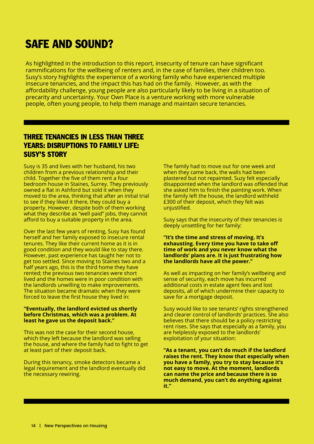### SAFE AND SOUND?

As highlighted in the introduction to this report, insecurity of tenure can have significant rammifications for the wellbeing of renters and, in the case of families, their children too. Susy's story highlights the experience of a working family who have experienced multiple insecure tenancies, and the impact this has had on the family. However, as with the affordability challenge, young people are also particularly likely to be living in a situation of precarity and uncertainty. Your Own Place is a venture working with more vulnerable people, often young people, to help them manage and maintain secure tenancies.

#### THREE TENANCIES IN LESS THAN THREE YEARS: DISRUPTIONS TO FAMILY LIFE: SUSY'S STORY

Susy is 35 and lives with her husband, his two children from a previous relationship and their child. Together the five of them rent a four bedroom house in Staines, Surrey. They previously owned a flat in Ashford but sold it when they moved to the area, thinking that after an initial trial to see if they liked it there, they could buy a property. However, despite both of them working what they describe as "well paid" jobs, they cannot afford to buy a suitable property in the area.

Over the last few years of renting, Susy has found herself and her family exposed to insecure rental tenures. They like their current home as it is in good condition and they would like to stay there. However, past experience has taught her not to get too settled. Since moving to Staines two and a half years ago, this is the third home they have rented; the previous two tenancies were short lived and the homes were in poor condition with the landlords unwilling to make improvements. The situation became dramatic when they were forced to leave the first house they lived in:

#### **"Eventually, the landlord evicted us shortly before Christmas, which was a problem. At least he gave us the deposit back."**

This was not the case for their second house, which they left because the landlord was selling the house, and where the family had to fight to get at least part of their deposit back.

During this tenancy, smoke detectors became a legal requirement and the landlord eventually did the necessary rewiring.

The family had to move out for one week and when they came back, the walls had been plastered but not repainted. Suzy felt especially disappointed when the landlord was offended that she asked him to finish the painting work. When the family left the house, the landlord withheld £300 of their deposit, which they felt was unjustified.

Susy says that the insecurity of their tenancies is deeply unsettling for her family:

#### **"It's the time and stress of moving. It's exhausting. Every time you have to take off time of work and you never know what the landlords' plans are. It is just frustrating how the landlords have all the power."**

As well as impacting on her family's wellbeing and sense of security, each move has incurred additional costs in estate agent fees and lost deposits, all of which undermine their capacity to save for a mortgage deposit.

Susy would like to see tenants' rights strengthened and clearer control of landlords' practices. She also believes that there should be a policy restricting rent rises. She says that especially as a family, you are helplessly exposed to the landlords' exploitation of your situation:

**"As a tenant, you can't do much if the landlord raises the rent. They know that especially when you have a family, you try to stay because it's not easy to move. At the moment, landlords can name the price and because there is so much demand, you can't do anything against it."**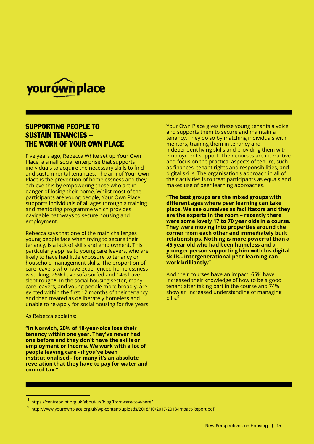

#### SUPPORTING PEOPLE TO SUSTAIN TENANCIES – THE WORK OF YOUR OWN PLACE

Five years ago, Rebecca White set up Your Own Place, a small social enterprise that supports individuals to acquire the necessary skills to find and sustain rental tenancies. The aim of Your Own Place is the prevention of homelessness and they achieve this by empowering those who are in danger of losing their home. Whilst most of the participants are young people, Your Own Place supports individuals of all ages through a training and mentoring programme which provides navigable pathways to secure housing and employment.

Rebecca says that one of the main challenges young people face when trying to secure their tenancy, is a lack of skills and employment. This particularly applies to young care leavers, who are likely to have had little exposure to tenancy or household management skills. The proportion of care leavers who have experienced homelessness is striking: 25% have sofa surfed and 14% have slept rough.<sup>4</sup> In the social housing sector, many care leavers, and young people more broadly, are evicted within the first 12 months of their tenancy and then treated as deliberately homeless and unable to re-apply for social housing for five years.

As Rebecca explains:

**"In Norwich, 20% of 18-year-olds lose their tenancy within one year. They've never had one before and they don't have the skills or employment or income. We work with a lot of people leaving care - if you've been institutionalised - for many it's an absolute revelation that they have to pay for water and council tax."**

Your Own Place gives these young tenants a voice and supports them to secure and maintain a tenancy. They do so by matching individuals with mentors, training them in tenancy and independent living skills and providing them with employment support. Their courses are interactive and focus on the practical aspects of tenure, such as finances, tenant rights and responsibilities, and digital skills. The organisation's approach in all of their activities is to treat participants as equals and makes use of peer learning approaches.

**"The best groups are the mixed groups with different ages where peer learning can take place. We see ourselves as facilitators and they are the experts in the room – recently there were some lovely 17 to 70 year olds in a course. They were moving into properties around the corner from each other and immediately built relationships. Nothing is more powerful than a 45 year old who had been homeless and a younger person supporting him with his digital skills - intergenerational peer learning can work brilliantly."**

And their courses have an impact: 65% have increased their knowledge of how to be a good tenant after taking part in the course and 74% show an increased understanding of managing bills. 5

https://centrepoint.org.uk/about-us/blog/from-care-to-where/ 4

<sup>&</sup>lt;sup>5</sup> http://www.yourownplace.org.uk/wp-content/uploads/2018/10/2017-2018-lmpact-Report.pdf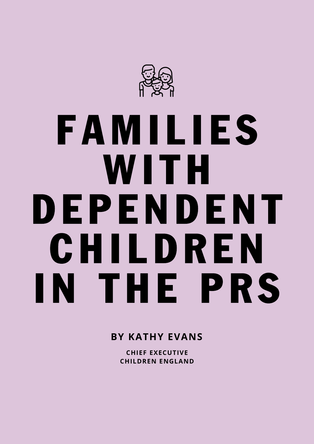

## F AMI L I E S WITH D E P END ENT **CHILDREN** IN THE PRS

**BY KATHY EVANS**

**CHIEF EXECUTIVE CHILDREN ENGLAND**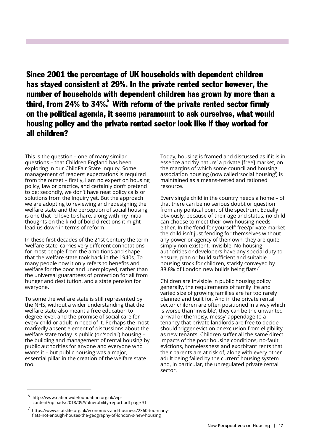Since 2001 the percentage of UK households with dependent children has stayed consistent at 29%. In the private rented sector however, the number of households with dependent children has grown by more than a third, from 24% to 34%. With reform of the private rented sector firmly **6** on the political agenda, it seems paramount to ask ourselves, what would housing policy and the private rented sector look like if they worked for all children?

This is the question – one of many similar questions – that Children England has been exploring in our ChildFair State Inquiry. Some management of readers' expectations is required from the outset – firstly, I am no expert on housing policy, law or practice, and certainly don't pretend to be; secondly, we don't have neat policy calls or solutions from the Inquiry yet. But the approach we are adopting to reviewing and redesigning the welfare state and the perception of social housing, is one that I'd love to share, along with my initial thoughts on the kind of bold directions it might lead us down in terms of reform.

In these first decades of the 21st Century the term 'welfare state' carries very different connotations for most people from the ambitions and shape that the welfare state took back in the 1940s. To many people now it only refers to benefits and welfare for the poor and unemployed, rather than the universal guarantees of protection for all from hunger and destitution, and a state pension for everyone.

To some the welfare state is still represented by the NHS, without a wider understanding that the welfare state also meant a free education to degree level, and the promise of social care for every child or adult in need of it. Perhaps the most markedly absent element of discussions about the welfare state today is public (or 'social') housing – the building and management of rental housing by public authorities for anyone and everyone who wants it – but public housing was a major, essential pillar in the creation of the welfare state too.

Today, housing is framed and discussed as if it is in essence and 'by nature' a private [free] market, on the margins of which some council and housing association housing (now called 'social housing') is maintained as a means-tested and rationed resource.

Every single child in the country needs a home – of that there can be no serious doubt or question from any political point of the spectrum. Equally obviously, because of their age and status, no child can choose to meet their own housing needs either. In the 'fend for yourself' free/private market the child isn't just fending for themselves without any power or agency of their own, they are quite simply non-existent. Invisible. No housing authorities or developers have any special duty to ensure, plan or build sufficient and suitable housing stock for children, starkly conveyed by 88.8% of London new builds being flats?

Children are invisible in public housing policy generally, the requirements of family life and varied size of growing families are far too rarely planned and built for. And in the private rental sector children are often positioned in a way which is worse than 'invisible', they can be the unwanted arrival or the 'noisy, messy' appendage to a tenancy that private landlords are free to decide should trigger eviction or exclusion from eligibility as new tenants. Children suffer all the same direct impacts of the poor housing conditions, no-fault evictions, homelessness and exorbitant rents that their parents are at risk of, along with every other adult being failed by the current housing system and, in particular, the unregulated private rental sector.

http://www.nationwidefoundation.org.uk/wpcontent/uploads/2018/09/Vulnerability-report.pdf page 31 6

https://www.statslife.org.uk/economics-and-business/2360-too-manyflats-not-enough-houses-the-geography-of-london-s-new-housing 7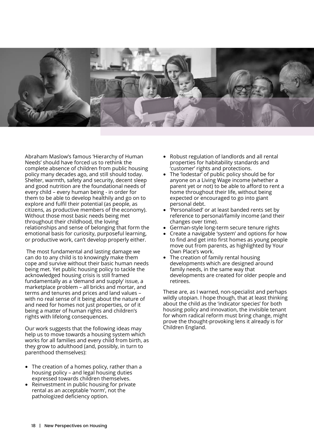

Abraham Maslow's famous 'Hierarchy of Human Needs' should have forced us to rethink the complete absence of children from public housing policy many decades ago, and still should today. Shelter, warmth, safety and security, decent sleep and good nutrition are the foundational needs of every child – every human being - in order for them to be able to develop healthily and go on to explore and fulfil their potential (as people, as citizens, as productive members of the economy). Without those most basic needs being met throughout their childhood, the loving relationships and sense of belonging that form the emotional basis for curiosity, purposeful learning, or productive work, can't develop properly either.

The most fundamental and lasting damage we can do to any child is to knowingly make them cope and survive without their basic human needs being met. Yet public housing policy to tackle the acknowledged housing crisis is still framed fundamentally as a 'demand and supply' issue, a marketplace problem – all bricks and mortar, and terms and tenures and prices and land values – with no real sense of it being about the nature of and need for homes not just properties, or of it being a matter of human rights and children's rights with lifelong consequences.

Our work suggests that the following ideas may help us to move towards a housing system which works for all families and every child from birth, as they grow to adulthood (and, possibly, in turn to parenthood themselves):

- The creation of a homes policy, rather than a housing policy – and legal housing duties expressed towards children themselves.
- Reinvestment in public housing for private rental as an acceptable 'norm', not the pathologized deficiency option.
- Robust regulation of landlords and all rental properties for habitability standards and 'customer' rights and protections.
- The 'lodestar' of public policy should be for anyone on a Living Wage income (whether a parent yet or not) to be able to afford to rent a home throughout their life, without being expected or encouraged to go into giant personal debt.
- 'Personalised' or at least banded rents set by reference to personal/family income (and their changes over time).
- German-style long-term secure tenure rights
- Create a navigable 'system' and options for how to find and get into first homes as young people move out from parents, as highlighted by Your Own Place's work.
- The creation of family rental housing developments which are designed around family needs, in the same way that developments are created for older people and retirees.

These are, as I warned, non-specialist and perhaps wildly utopian. I hope though, that at least thinking about the child as the 'indicator species' for both housing policy and innovation, the invisible tenant for whom radical reform must bring change, might prove the thought-provoking lens it already is for Children England.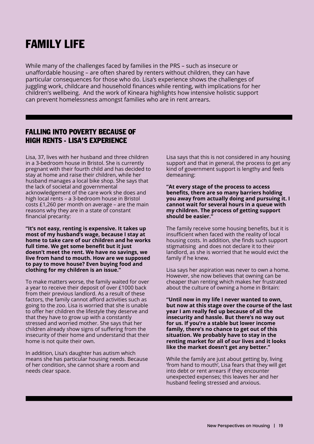## FAMILY LIFE

While many of the challenges faced by families in the PRS – such as insecure or unaffordable housing – are often shared by renters without children, they can have particular consequences for those who do. Lisa's experience shows the challenges of juggling work, childcare and household finances while renting, with implications for her children's wellbeing. And the work of Kineara highlights how intensive holistic support can prevent homelessness amongst families who are in rent arrears.

#### FALLING INTO POVERTY BECAUSE OF HIGH RENTS - LISA'S EXPERIENCE

Lisa, 37, lives with her husband and three children in a 3-bedroom house in Bristol. She is currently pregnant with their fourth child and has decided to stay at home and raise their children, while her husband manages a local bike shop. She says that the lack of societal and governmental acknowledgement of the care work she does and high local rents – a 3-bedroom house in Bristol costs £1,260 per month on average – are the main reasons why they are in a state of constant financial precarity:

**"It's not easy, renting is expensive. It takes up most of my husband's wage, because I stay at home to take care of our children and he works full time. We get some benefit but it just doesn't meet the rent. We have no savings, we live from hand to mouth. How are we supposed to pay to move house? Even buying food and clothing for my children is an issue."**

To make matters worse, the family waited for over a year to receive their deposit of over £1000 back from their previous landlord. As a result of these factors, the family cannot afford activities such as going to the zoo. Lisa is worried that she is unable to offer her children the lifestyle they deserve and that they have to grow up with a constantly stressed and worried mother. She says that her children already show signs of suffering from the insecurity of their home and understand that their home is not quite their own.

In addition, Lisa's daughter has autism which means she has particular housing needs. Because of her condition, she cannot share a room and needs clear space.

Lisa says that this is not considered in any housing support and that in general, the process to get any kind of government support is lengthy and feels demeaning:

#### **"At every stage of the process to access benefits, there are so many barriers holding you away from actually doing and pursuing it. I cannot wait for several hours in a queue with my children. The process of getting support should be easier."**

The family receive some housing benefits, but it is insufficient when faced with the reality of local housing costs. In addition, she finds such support stigmatising and does not declare it to their landlord, as she is worried that he would evict the family if he knew.

Lisa says her aspiration was never to own a home. However, she now believes that owning can be cheaper than renting which makes her frustrated about the culture of owning a home in Britain:

**"Until now in my life I never wanted to own, but now at this stage over the course of the last year I am really fed up because of all the insecurity and hassle. But there's no way out for us. If you're a stable but lower income family, there's no chance to get out of this situation. We probably have to stay in the renting market for all of our lives and it looks like the market doesn't get any better."**

While the family are just about getting by, living 'from hand to mouth', Lisa fears that they will get into debt or rent arrears if they encounter unexpected expenses; this leaves her and her husband feeling stressed and anxious.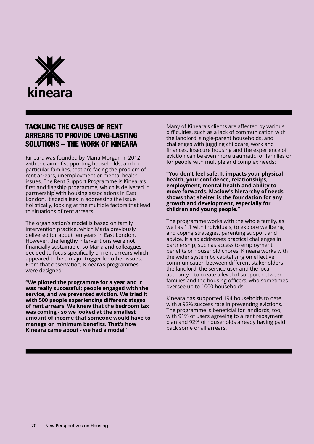

#### TACKLING THE CAUSES OF RENT ARREARS TO PROVIDE LONG-LASTING SOLUTIONS – THE WORK OF KINEARA

Kineara was founded by Maria Morgan in 2012 with the aim of supporting households, and in particular families, that are facing the problem of rent arrears, unemployment or mental health issues. The Rent Support Programme is Kineara's first and flagship programme, which is delivered in partnership with housing associations in East London. It specialises in addressing the issue holistically, looking at the multiple factors that lead to situations of rent arrears.

The organisation's model is based on family intervention practice, which Maria previously delivered for about ten years in East London. However, the lengthy interventions were not financially sustainable, so Maria and colleagues decided to focus specifically on rent arrears which appeared to be a major trigger for other issues. From that observation, Kineara's programmes were designed:

**"We piloted the programme for a year and it was really successful; people engaged with the service, and we prevented eviction. We tried it with 500 people experiencing different stages of rent arrears. We knew that the bedroom tax was coming - so we looked at the smallest amount of income that someone would have to manage on minimum benefits. That's how Kineara came about - we had a model"**

Many of Kineara's clients are affected by various difficulties, such as a lack of communication with the landlord, single-parent households, and challenges with juggling childcare, work and finances. Insecure housing and the experience of eviction can be even more traumatic for families or for people with multiple and complex needs:

**"You don't feel safe. It impacts your physical health, your confidence, relationships, employment, mental health and ability to move forwards. Maslow's hierarchy of needs shows that shelter is the foundation for any growth and development, especially for children and young people."**

The programme works with the whole family, as well as 1:1 with individuals, to explore wellbeing and coping strategies, parenting support and advice. It also addresses practical challenges in partnership, such as access to employment, benefits or household chores. Kineara works with the wider system by capitalising on effective communication between different stakeholders – the landlord, the service user and the local authority – to create a level of support between families and the housing officers, who sometimes oversee up to 1000 households.

Kineara has supported 194 households to date with a 92% success rate in preventing evictions. The programme is beneficial for landlords, too, with 91% of users agreeing to a rent repayment plan and 92% of households already having paid back some or all arrears.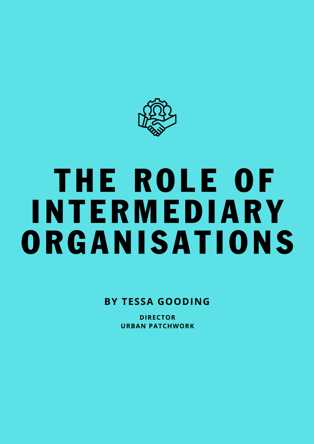

## THE ROLE OF INT E RME D I A R Y ORGANISATIONS

**BY TESSA GOODING**

**DIRECTOR URBAN PATCHWORK**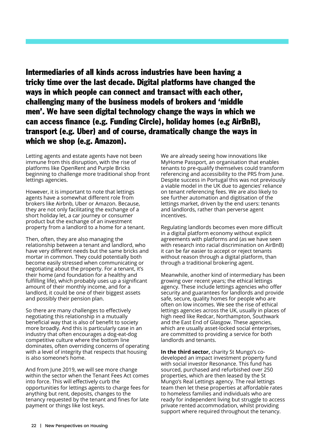Intermediaries of all kinds across industries have been having a tricky time over the last decade. Digital platforms have changed the ways in which people can connect and transact with each other, challenging many of the business models of brokers and 'middle men'. We have seen digital technology change the ways in which we can access finance (e.g. Funding Circle), holiday homes (e.g AirBnB), transport (e.g. Uber) and of course, dramatically change the ways in which we shop (e.g. Amazon).

Letting agents and estate agents have not been immune from this disruption, with the rise of platforms like OpenRent and Purple Bricks beginning to challenge more traditional shop front lettings agencies.

However, it is important to note that lettings agents have a somewhat different role from brokers like Airbnb, Uber or Amazon. Because, they are not only facilitating the exchange of a short holiday let, a car journey or consumer product but the exchange of an investment property from a landlord to a home for a tenant.

Then, often, they are also managing the relationship between a tenant and landlord, who have very different needs but the same bricks and mortar in common. They could potentially both become easily stressed when communicating or negotiating about the property. For a tenant, it's their home (and foundation for a healthy and fulfilling life), which probably uses up a significant amount of their monthly income, and for a landlord, it could be one of their biggest assets and possibly their pension plan.

So there are many challenges to effectively negotiating this relationship in a mutually beneficial way that is also of benefit to society more broadly. And this is particularly case in an industry that often encourages a dog-eat-dog competitive culture where the bottom line dominates, often overriding concerns of operating with a level of integrity that respects that housing is also someone's home.

And from June 2019, we will see more change within the sector when the Tenant Fees Act comes into force. This will effectively curb the opportunities for lettings agents to charge fees for anything but rent, deposits, changes to the tenancy requested by the tenant and fines for late payment or things like lost keys.

We are already seeing how innovations like MyHome Passport, an organisation that enables tenants to pre-qualify themselves could transform referencing and accessibility to the PRS from June. Despite success in Portugal this was not previously a viable model in the UK due to agencies' reliance on tenant referencing fees. We are also likely to see further automation and digitisation of the lettings market, driven by the end users: tenants and landlords, rather than perverse agent incentives.

Regulating landlords becomes even more difficult in a digital platform economy without explicit agreements with platforms and (as we have seen with research into racial discrimination on AirBnB) it can be far easier to accept or reject tenants without reason through a digital platform, than through a traditional brokering agent.

Meanwhile, another kind of intermediary has been growing over recent years; the ethical lettings agency. These include lettings agencies who offer security and guarantees for landlords and provide safe, secure, quality homes for people who are often on low incomes. We see the rise of ethical lettings agencies across the UK, usually in places of high need like Redcar, Northampton, Southwark and the East End of Glasgow. These agencies, which are usually asset-locked social enterprises, are committed to providing a service for both landlords and tenants.

**In the third sector,** charity St Mungo's codeveloped an impact investment property fund with social investor Resonance. This fund has sourced, purchased and refurbished over 250 properties, which are then leased by the St Mungo's Real Lettings agency. The real lettings team then let these properties at affordable rates to homeless families and individuals who are ready for independent living but struggle to access private rented accommodation, whilst providing support where required throughout the tenancy.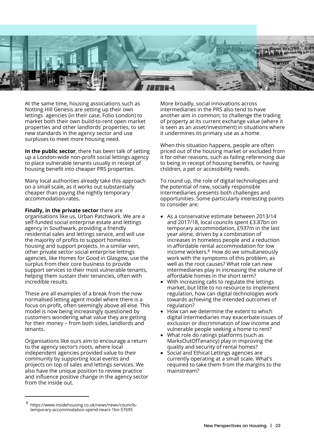

At the same time, housing associations such as Notting Hill Genesis are setting up their own lettings agencies (in their case, Folio London) to market both their own build-to-rent open market properties and other landlords' properties, to set new standards in the agency sector and use surpluses to meet more housing need.

**In the public sector**, there has been talk of setting up a London-wide non-profit social lettings agency to place vulnerable tenants usually in receipt of housing benefit into cheaper PRS properties.

Many local authorities already take this approach on a small scale, as it works out substantially cheaper than paying the nightly temporary accommodation rates.

**Finally, in the private sector** there are organisations like us, Urban Patchwork. We are a self-funded social enterprise estate and lettings agency in Southwark, providing a friendly residential sales and lettings service, and will use the majority of profits to support homeless housing and support projects. In a similar vein, other private sector social enterprise lettings agencies, like Homes for Good in Glasgow, use the surplus from their core business to provide support services to their most vulnerable tenants, helping them sustain their tenancies, often with incredible results.

These are all examples of a break from the now normalised letting agent model where there is a focus on profit, often seemingly above all else. This model is now being increasingly questioned by customers wondering what value they are getting for their money – from both sides, landlords and tenants.

Organisations like ours aim to encourage a return to the agency sector's roots, where local independent agencies provided value to their community by supporting local events and projects on top of sales and lettings services. We also have the unique position to review practice and influence positive change in the agency sector from the inside out.

More broadly, social innovations across intermediaries in the PRS also tend to have another aim in common; to challenge the trading of property at its current exchange value (where it is seen as an asset/investment) in situations where it undermines its primary use as a home.

When this situation happens, people are often priced out of the housing market or excluded from it for other reasons, such as failing referencing due to being in receipt of housing benefits, or having children, a pet or accessibility needs.

To round up, the role of digital technologies and the potential of new, socially responsible intermediaries presents both challenges and opportunities. Some particularly interesting points to consider are:

- As a conservative estimate between 2013/14 and 2017/18, local councils spent £3.87bn on temporary accommodation, £937m in the last year alone, driven by a combination of increases in homeless people and a reduction in affordable rental accommodation for low income workers.<sup>8</sup> How do we simultaneously work with the symptoms of this problem, as well as the root causes? What role can new intermediaries play in increasing the volume of affordable homes in the short term?
- With increasing calls to regulate the lettings market, but little to no resource to implement regulation, how can digital technologies work towards achieving the intended outcomes of regulation?
- How can we determine the extent to which digital intermediaries may exacerbate issues of exclusion or discrimination of low income and vulnerable people seeking a home to rent?
- What role do ratings platforms (such as MarksOutOfTenancy) play in improving the quality and security of rental homes?
- Social and Ethical Lettings agencies are currently operating at a small scale. What's required to take them from the margins to the mainstream?

https://www.insidehousing.co.uk/news/news/councilstemporary-accommodation-spend-nears-1bn-57695 8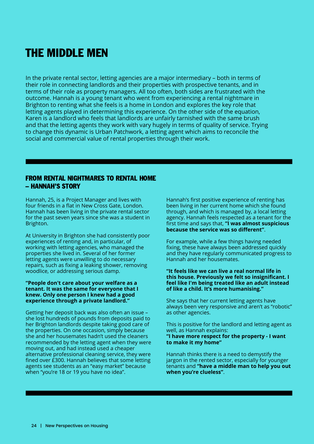### THE MIDDLE MEN

In the private rental sector, letting agencies are a major intermediary – both in terms of their role in connecting landlords and their properties with prospective tenants, and in terms of their role as property managers. All too often, both sides are frustrated with the outcome. Hannah is a young tenant who went from experiencing a rental nightmare in Brighton to renting what she feels is a home in London and explores the key role that letting agents played in determining this experience. On the other side of the equation, Karen is a landlord who feels that landlords are unfairly tarnished with the same brush and that the letting agents they work with vary hugely in terms of quality of service. Trying to change this dynamic is Urban Patchwork, a letting agent which aims to reconcile the social and commercial value of rental properties through their work.

#### FROM RENTAL NIGHTMARES TO RENTAL HOME – HANNAH'S STORY

Hannah, 25, is a Project Manager and lives with four friends in a flat in New Cross Gate, London. Hannah has been living in the private rental sector for the past seven years since she was a student in Brighton.

At University in Brighton she had consistently poor experiences of renting and, in particular, of working with letting agencies, who managed the properties she lived in. Several of her former letting agents were unwilling to do necessary repairs, such as fixing a leaking shower, removing woodlice, or addressing serious damp.

#### **"People don't care about your welfare as a tenant. It was the same for everyone that I knew. Only one person I knew had a good experience through a private landlord."**

Getting her deposit back was also often an issue – she lost hundreds of pounds from deposits paid to her Brighton landlords despite taking good care of the properties. On one occasion, simply because she and her housemates hadn't used the cleaners recommended by the letting agent when they were moving out, and had instead used a cheaper alternative professional cleaning service, they were fined over £300. Hannah believes that some letting agents see students as an "easy market" because when "you're 18 or 19 you have no idea".

Hannah's first positive experience of renting has been living in her current home which she found through, and which is managed by, a local letting agency. Hannah feels respected as a tenant for the first time and says that, **"I was almost suspicious because the service was so different"**.

For example, while a few things having needed fixing, these have always been addressed quickly and they have regularly communicated progress to Hannah and her housemates.

#### **"It feels like we can live a real normal life in this house. Previously we felt so insignificant. I feel like I'm being treated like an adult instead of like a child. It's more humanising."**

She says that her current letting agents have always been very responsive and aren't as "robotic" as other agencies.

This is positive for the landlord and letting agent as well, as Hannah explains: **"I have more respect for the property - I want to make it my home"**

Hannah thinks there is a need to demystify the jargon in the rented sector, especially for younger tenants and **"have a middle man to help you out when you're clueless"**.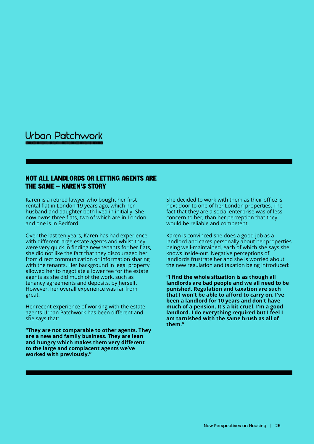### Urban Patchwork

#### NOT ALL LANDLORDS OR LETTING AGENTS ARE THE SAME – KAREN'S STORY

Karen is a retired lawyer who bought her first rental flat in London 19 years ago, which her husband and daughter both lived in initially. She now owns three flats, two of which are in London and one is in Bedford.

Over the last ten years, Karen has had experience with different large estate agents and whilst they were very quick in finding new tenants for her flats, she did not like the fact that they discouraged her from direct communication or information sharing with the tenants. Her background in legal property allowed her to negotiate a lower fee for the estate agents as she did much of the work, such as tenancy agreements and deposits, by herself. However, her overall experience was far from great.

Her recent experience of working with the estate agents Urban Patchwork has been different and she says that:

**"They are not comparable to other agents. They are a new and family business. They are lean and hungry which makes them very different to the large and complacent agents we've worked with previously."**

She decided to work with them as their office is next door to one of her London properties. The fact that they are a social enterprise was of less concern to her, than her perception that they would be reliable and competent.

Karen is convinced she does a good job as a landlord and cares personally about her properties being well-maintained, each of which she says she knows inside-out. Negative perceptions of landlords frustrate her and she is worried about the new regulation and taxation being introduced:

**"I find the whole situation is as though all landlords are bad people and we all need to be punished. Regulation and taxation are such that I won't be able to afford to carry on. I've been a landlord for 10 years and don't have much of a pension. It's a bit cruel. I'm a good landlord. I do everything required but I feel I am tarnished with the same brush as all of them."**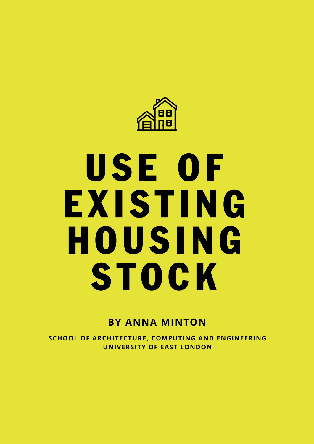

## USE OF **EXISTING HOUSING** S T O C K

**BY ANNA MINTON**

**SCHOOL OF ARCHITECTURE, COMPUTING AND ENGINEERING UNIVERSITY OF EAST LONDON**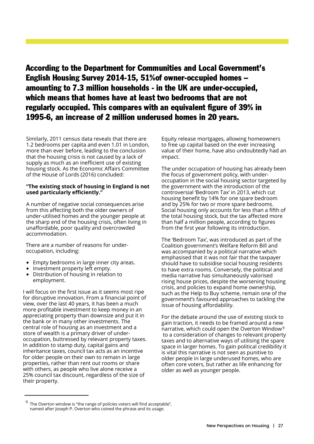According to the Department for Communities and Local Government's English Housing Survey 2014-15, 51%of owner-occupied homes – amounting to 7.3 million households - in the UK are under-occupied, which means that homes have at least two bedrooms that are not regularly occupied. This compares with an equivalent figure of 39% in 1995-6, an increase of 2 million underused homes in 20 years.

Similarly, 2011 census data reveals that there are 1.2 bedrooms per capita and even 1.01 in London, more than ever before, leading to the conclusion that the housing crisis is not caused by a lack of supply as much as an inefficient use of existing housing stock. As the Economic Affairs Committee of the House of Lords (2016) concluded:

#### **"The existing stock of housing in England is not used particularly efficiently."**

A number of negative social consequences arise from this affecting both the older owners of under-utilised homes and the younger people at the sharp end of the housing crisis, often living in unaffordable, poor quality and overcrowded accommodation.

There are a number of reasons for underoccupation, including:

- Empty bedrooms in large inner city areas.
- Investment property left empty.
- Distribution of housing in relation to employment.

I will focus on the first issue as it seems most ripe for disruptive innovation. From a financial point of view, over the last 40 years, it has been a much more profitable investment to keep money in an appreciating property than downsize and put it in the bank or in many other investments. The central role of housing as an investment and a store of wealth is a primary driver of underoccupation, buttressed by relevant property taxes. In addition to stamp duty, capital gains and inheritance taxes, council tax acts as an incentive for older people on their own to remain in large properties, rather than rent out rooms or share with others, as people who live alone receive a 25% council tax discount, regardless of the size of their property.

Equity release mortgages, allowing homeowners to free up capital based on the ever increasing value of their home, have also undoubtedly had an impact.

The under occupation of housing has already been the focus of government policy, with underoccupation in the social housing sector targeted by the government with the introduction of the controversial 'Bedroom Tax' in 2013, which cut housing benefit by 14% for one spare bedroom and by 25% for two or more spare bedrooms. Social housing only accounts for less than a fifth of the total housing stock, but the tax affected more than half a million people, according to figures from the first year following its introduction.

The 'Bedroom Tax', was introduced as part of the Coalition government's Welfare Reform Bill and was accompanied by a political narrative which emphasised that it was not fair that the taxpayer should have to subsidise social housing residents to have extra rooms. Conversely, the political and media narrative has simultaneously valorised rising house prices, despite the worsening housing crisis, and policies to expand home ownership, such as the Help to Buy scheme, remain one of the government's favoured approaches to tackling the issue of housing affordability.

For the debate around the use of existing stock to gain traction, it needs to be framed around a new narrative, which could open the Overton Window 9 to a consideration of changes to relevant property taxes and to alternative ways of utilising the spare space in larger homes. To gain political credibility it is vital this narrative is not seen as punitive to older people in large underused homes, who are often core voters, but rather as life enhancing for older as well as younger people.

The Overton window is "the range of policies voters will find acceptable", named after Joseph P. Overton who coined the phrase and its usage. 9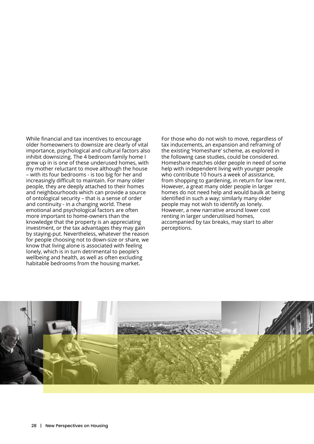While financial and tax incentives to encourage older homeowners to downsize are clearly of vital importance, psychological and cultural factors also inhibit downsizing. The 4 bedroom family home I grew up in is one of these underused homes, with my mother reluctant to move although the house – with its four bedrooms - is too big for her and increasingly difficult to maintain. For many older people, they are deeply attached to their homes and neighbourhoods which can provide a source of ontological security – that is a sense of order and continuity - in a changing world. These emotional and psychological factors are often more important to home-owners than the knowledge that the property is an appreciating investment, or the tax advantages they may gain by staying-put. Nevertheless, whatever the reason for people choosing not to down-size or share, we know that living alone is associated with feeling lonely, which is in turn detrimental to people's wellbeing and health, as well as often excluding habitable bedrooms from the housing market.

For those who do not wish to move, regardless of tax inducements, an expansion and reframing of the existing 'Homeshare' scheme, as explored in the following case studies, could be considered. Homeshare matches older people in need of some help with independent living with younger people who contribute 10 hours a week of assistance, from shopping to gardening, in return for low rent. However, a great many older people in larger homes do not need help and would baulk at being identified in such a way; similarly many older people may not wish to identify as lonely. However, a new narrative around lower cost renting in larger underutilised homes, accompanied by tax breaks, may start to alter perceptions.

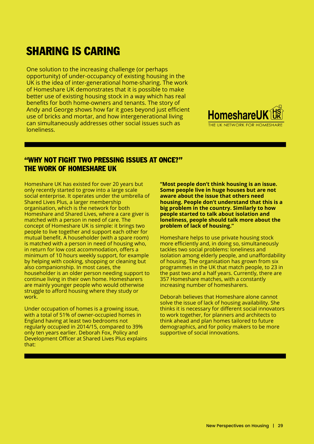### SHARING IS CARING

One solution to the increasing challenge (or perhaps opportunity) of under-occupancy of existing housing in the UK is the idea of inter-generational home-sharing. The work of Homeshare UK demonstrates that it is possible to make better use of existing housing stock in a way which has real benefits for both home-owners and tenants. The story of Andy and George shows how far it goes beyond just efficient use of bricks and mortar, and how intergenerational living can simultaneously addresses other social issues such as loneliness.



#### "WHY NOT FIGHT TWO PRESSING ISSUES AT ONCE?" THE WORK OF HOMESHARE UK

Homeshare UK has existed for over 20 years but only recently started to grow into a large scale social enterprise. It operates under the umbrella of Shared Lives Plus, a larger membership organisation, which is the network for both Homeshare and Shared Lives, where a care giver is matched with a person in need of care. The concept of Homeshare UK is simple: it brings two people to live together and support each other for mutual benefit. A householder (with a spare room) is matched with a person in need of housing who, in return for low cost accommodation, offers a minimum of 10 hours weekly support, for example by helping with cooking, shopping or cleaning but also companionship. In most cases, the householder is an older person needing support to continue living in their own home. Homesharers are mainly younger people who would otherwise struggle to afford housing where they study or work.

Under occupation of homes is a growing issue, with a total of 51% of owner-occupied homes in England having at least two bedrooms not regularly occupied in 2014/15, compared to 39% only ten years earlier. Deborah Fox, Policy and Development Officer at Shared Lives Plus explains that:

**"Most people don't think housing is an issue. Some people live in huge houses but are not aware about the issue that others need housing. People don't understand that this is a big problem in the country. Similarly to how people started to talk about isolation and loneliness, people should talk more about the problem of lack of housing."**

Homeshare helps to use private housing stock more efficiently and, in doing so, simultaneously tackles two social problems: loneliness and isolation among elderly people, and unaffordability of housing. The organisation has grown from six programmes in the UK that match people, to 23 in the past two and a half years. Currently, there are 357 Homeshare matches, with a constantly increasing number of homesharers.

Deborah believes that Homeshare alone cannot solve the issue of lack of housing availability. She thinks it is necessary for different social innovators to work together, for planners and architects to think ahead and plan homes tailored to future demographics, and for policy makers to be more supportive of social innovations.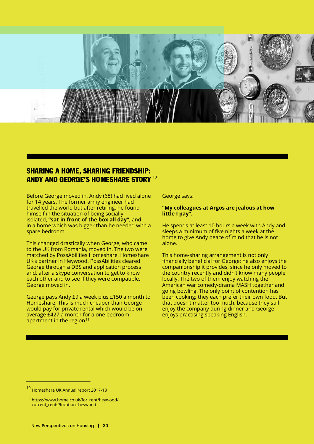

#### SHARING A HOME, SHARING FRIENDSHIP: **ANDY AND GEORGE'S HOMESHARE STORY 10**

Before George moved in, Andy (68) had lived alone for 14 years. The former army engineer had travelled the world but after retiring, he found himself in the situation of being socially isolated, **"sat in front of the box all day"**, and in a home which was bigger than he needed with a spare bedroom.

This changed drastically when George, who came to the UK from Romania, moved in. The two were matched by PossAbilities Homeshare, Homeshare UK's partner in Heywood. PossAbilities cleared George through a DBS and application process and, after a skype conversation to get to know each other and to see if they were compatible, George moved in.

George pays Andy £9 a week plus £150 a month to Homeshare. This is much cheaper than George would pay for private rental which would be on average £427 a month for a one bedroom apartment in the region.<sup>11</sup>

#### George says:

#### **"My colleagues at Argos are jealous at how little I pay".**

He spends at least 10 hours a week with Andy and sleeps a minimum of five nights a week at the home to give Andy peace of mind that he is not alone.

This home-sharing arrangement is not only financially beneficial for George; he also enjoys the companionship it provides, since he only moved to the country recently and didn't know many people locally. The two of them enjoy watching the American war comedy-drama MASH together and going bowling. The only point of contention has been cooking; they each prefer their own food. But that doesn't matter too much, because they still enjoy the company during dinner and George enjoys practising speaking English.

<sup>&</sup>lt;sup>10</sup> Homeshare UK Annual report 2017-18

https://www.home.co.uk/for\_rent/heywood/ current\_rents?location=heywood 11